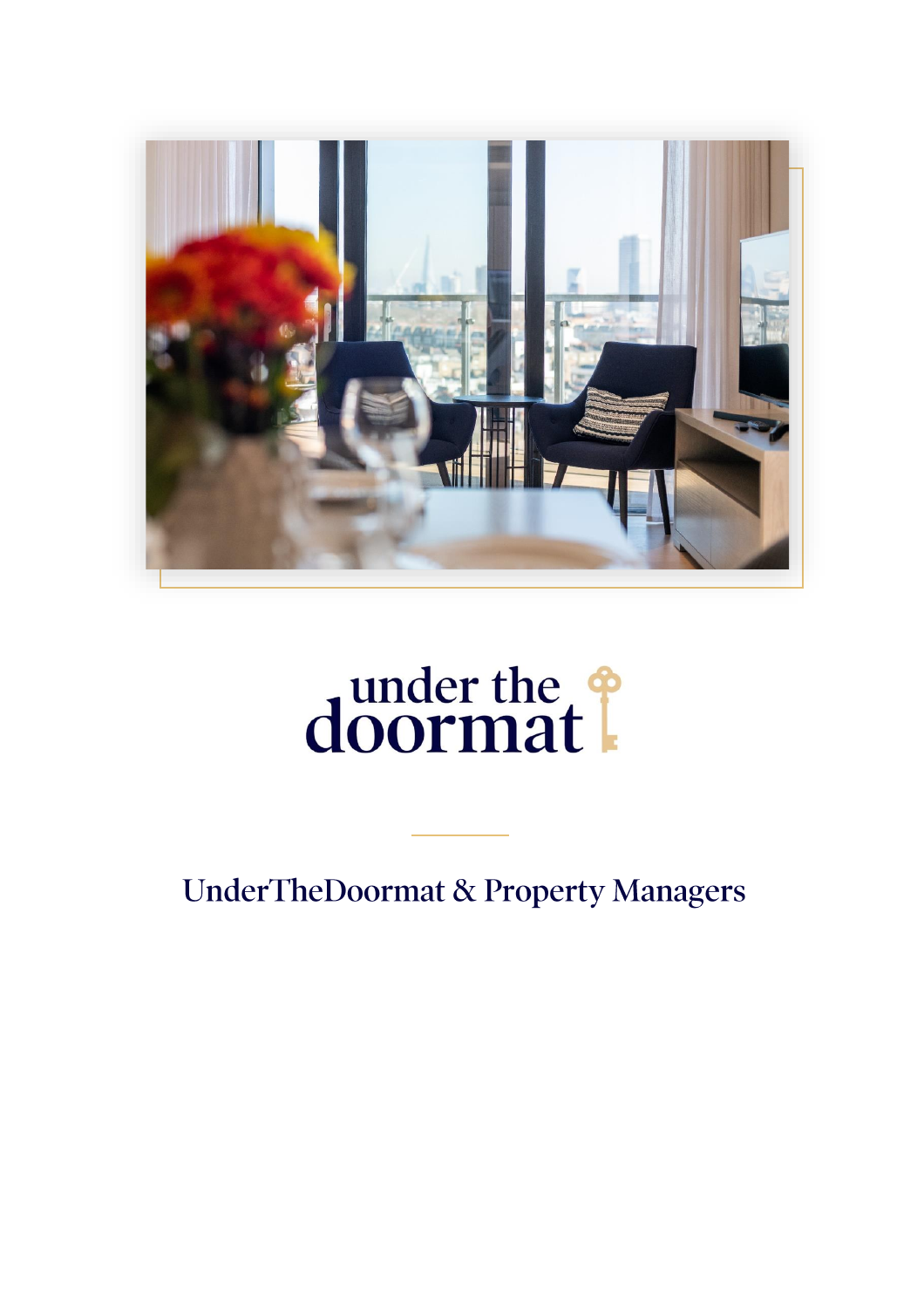

# doormat

**UnderTheDoormat & Property Managers**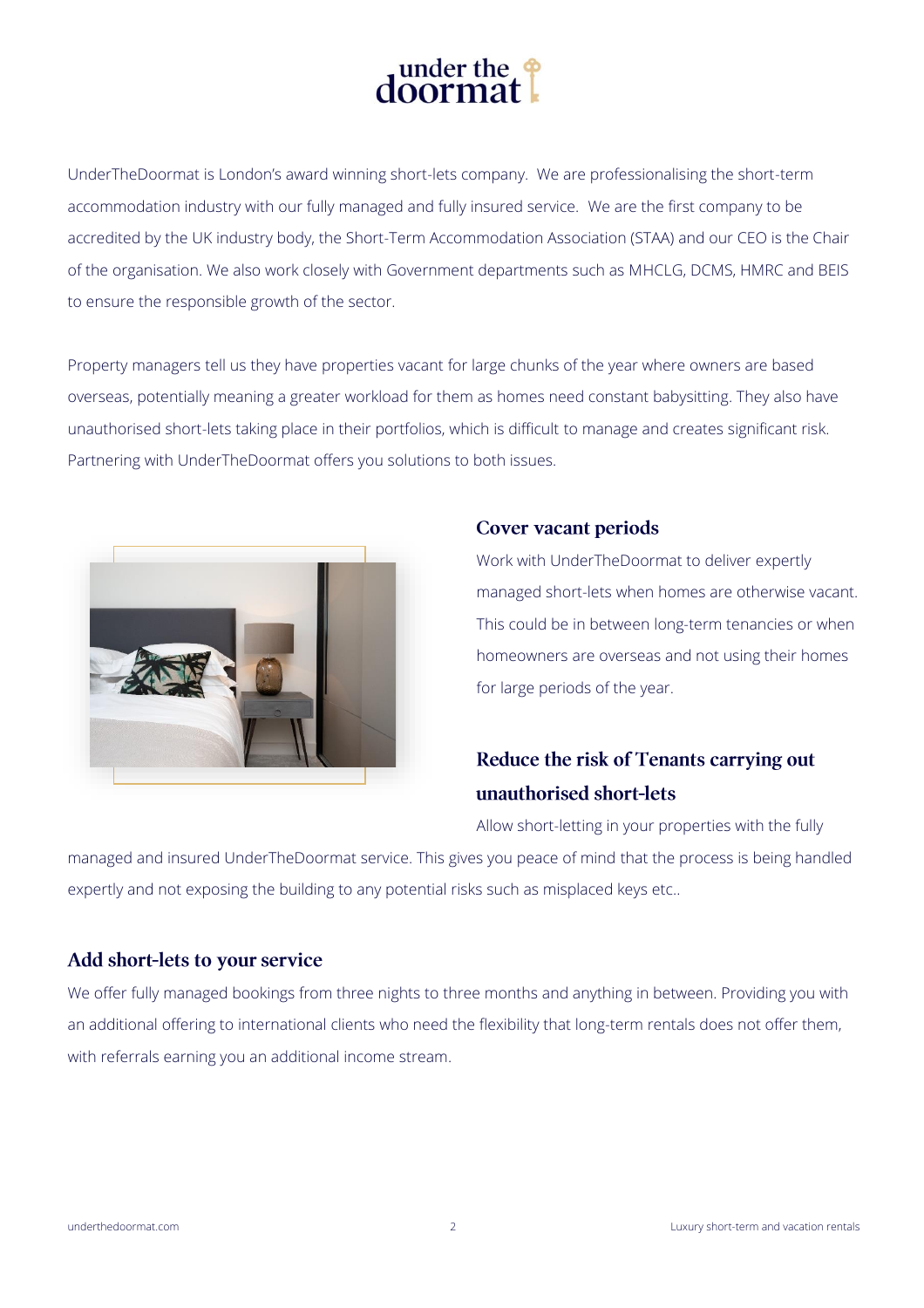

UnderTheDoormat is London's award winning short-lets company. We are professionalising the short-term accommodation industry with our fully managed and fully insured service. We are the first company to be accredited by the UK industry body, the Short-Term Accommodation Association (STAA) and our CEO is the Chair of the organisation. We also work closely with Government departments such as MHCLG, DCMS, HMRC and BEIS to ensure the responsible growth of the sector.

Property managers tell us they have properties vacant for large chunks of the year where owners are based overseas, potentially meaning a greater workload for them as homes need constant babysitting. They also have unauthorised short-lets taking place in their portfolios, which is difficult to manage and creates significant risk. Partnering with UnderTheDoormat offers you solutions to both issues.



#### **Cover vacant periods**

Work with UnderTheDoormat to deliver expertly managed short-lets when homes are otherwise vacant. This could be in between long-term tenancies or when homeowners are overseas and not using their homes for large periods of the year.

# Reduce the risk of Tenants carrying out unauthorised short-lets

Allow short-letting in your properties with the fully

managed and insured UnderTheDoormat service. This gives you peace of mind that the process is being handled expertly and not exposing the building to any potential risks such as misplaced keys etc..

#### Add short-lets to your service

We offer fully managed bookings from three nights to three months and anything in between. Providing you with an additional offering to international clients who need the flexibility that long-term rentals does not offer them, with referrals earning you an additional income stream.